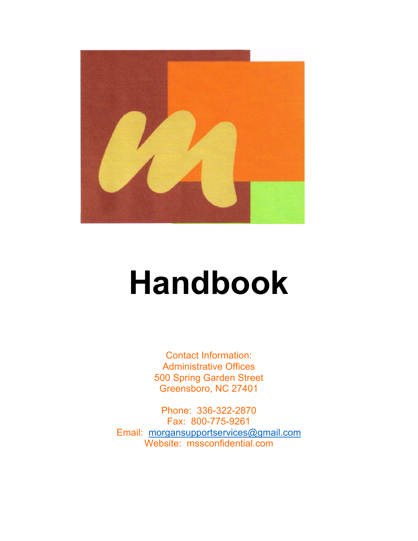

# **Handbook**

Contact Information: Administrative Offices 500 Spring Garden Street Greensboro, NC 27401

Phone: 336-322-2870 Fax: 800-775-9261 Email: [morgansupportservices@gmail.com](mailto:morgansupportservices@gmail.com) Website: mssconfidential.com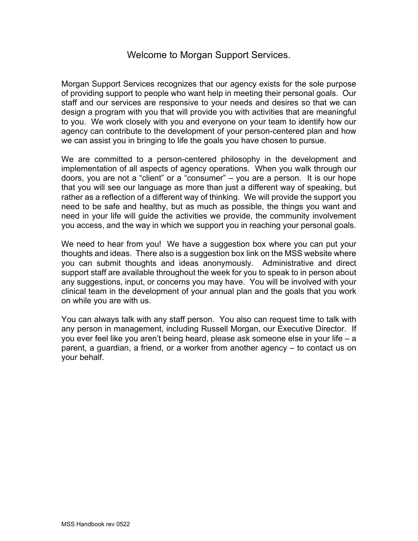# Welcome to Morgan Support Services.

Morgan Support Services recognizes that our agency exists for the sole purpose of providing support to people who want help in meeting their personal goals. Our staff and our services are responsive to your needs and desires so that we can design a program with you that will provide you with activities that are meaningful to you. We work closely with you and everyone on your team to identify how our agency can contribute to the development of your person-centered plan and how we can assist you in bringing to life the goals you have chosen to pursue.

We are committed to a person-centered philosophy in the development and implementation of all aspects of agency operations. When you walk through our doors, you are not a "client" or a "consumer" – you are a person. It is our hope that you will see our language as more than just a different way of speaking, but rather as a reflection of a different way of thinking. We will provide the support you need to be safe and healthy, but as much as possible, the things you want and need in your life will guide the activities we provide, the community involvement you access, and the way in which we support you in reaching your personal goals.

We need to hear from you! We have a suggestion box where you can put your thoughts and ideas. There also is a suggestion box link on the MSS website where you can submit thoughts and ideas anonymously. Administrative and direct support staff are available throughout the week for you to speak to in person about any suggestions, input, or concerns you may have. You will be involved with your clinical team in the development of your annual plan and the goals that you work on while you are with us.

You can always talk with any staff person. You also can request time to talk with any person in management, including Russell Morgan, our Executive Director. If you ever feel like you aren't being heard, please ask someone else in your life – a parent, a guardian, a friend, or a worker from another agency – to contact us on your behalf.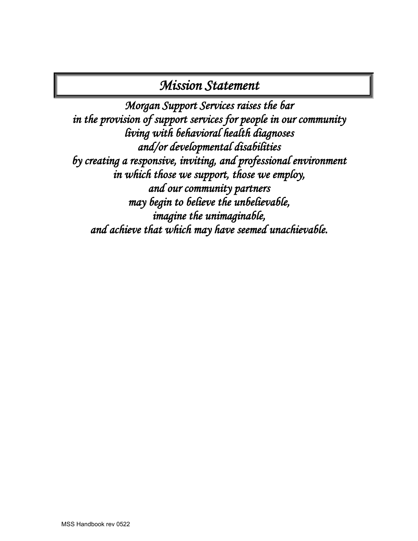# *Mission Statement*

*Morgan Support Services raises the bar in the provision of support services for people in our community living with behavioral health diagnoses and/or developmental disabilities by creating a responsive, inviting, and professional environment in which those we support, those we employ, and our community partners may begin to believe the unbelievable, imagine the unimaginable, and achieve that which may have seemed unachievable.*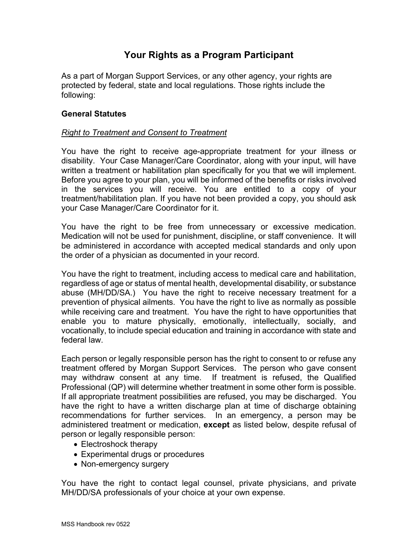# **Your Rights as a Program Participant**

As a part of Morgan Support Services, or any other agency, your rights are protected by federal, state and local regulations. Those rights include the following:

### **General Statutes**

## *Right to Treatment and Consent to Treatment*

You have the right to receive age-appropriate treatment for your illness or disability. Your Case Manager/Care Coordinator, along with your input, will have written a treatment or habilitation plan specifically for you that we will implement. Before you agree to your plan, you will be informed of the benefits or risks involved in the services you will receive. You are entitled to a copy of your treatment/habilitation plan. If you have not been provided a copy, you should ask your Case Manager/Care Coordinator for it.

You have the right to be free from unnecessary or excessive medication. Medication will not be used for punishment, discipline, or staff convenience. It will be administered in accordance with accepted medical standards and only upon the order of a physician as documented in your record.

You have the right to treatment, including access to medical care and habilitation, regardless of age or status of mental health, developmental disability, or substance abuse (MH/DD/SA.) You have the right to receive necessary treatment for a prevention of physical ailments. You have the right to live as normally as possible while receiving care and treatment. You have the right to have opportunities that enable you to mature physically, emotionally, intellectually, socially, and vocationally, to include special education and training in accordance with state and federal law.

Each person or legally responsible person has the right to consent to or refuse any treatment offered by Morgan Support Services. The person who gave consent may withdraw consent at any time. If treatment is refused, the Qualified Professional (QP) will determine whether treatment in some other form is possible. If all appropriate treatment possibilities are refused, you may be discharged. You have the right to have a written discharge plan at time of discharge obtaining recommendations for further services. In an emergency, a person may be administered treatment or medication, **except** as listed below, despite refusal of person or legally responsible person:

- Electroshock therapy
- Experimental drugs or procedures
- Non-emergency surgery

You have the right to contact legal counsel, private physicians, and private MH/DD/SA professionals of your choice at your own expense.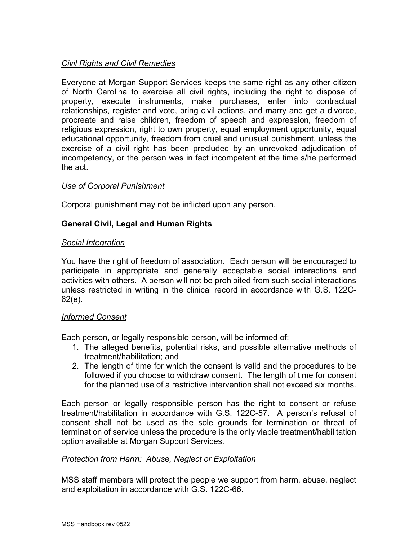# *Civil Rights and Civil Remedies*

Everyone at Morgan Support Services keeps the same right as any other citizen of North Carolina to exercise all civil rights, including the right to dispose of property, execute instruments, make purchases, enter into contractual relationships, register and vote, bring civil actions, and marry and get a divorce, procreate and raise children, freedom of speech and expression, freedom of religious expression, right to own property, equal employment opportunity, equal educational opportunity, freedom from cruel and unusual punishment, unless the exercise of a civil right has been precluded by an unrevoked adjudication of incompetency, or the person was in fact incompetent at the time s/he performed the act.

# *Use of Corporal Punishment*

Corporal punishment may not be inflicted upon any person.

# **General Civil, Legal and Human Rights**

### *Social Integration*

You have the right of freedom of association. Each person will be encouraged to participate in appropriate and generally acceptable social interactions and activities with others. A person will not be prohibited from such social interactions unless restricted in writing in the clinical record in accordance with G.S. 122C-62(e).

### *Informed Consent*

Each person, or legally responsible person, will be informed of:

- 1. The alleged benefits, potential risks, and possible alternative methods of treatment/habilitation; and
- 2. The length of time for which the consent is valid and the procedures to be followed if you choose to withdraw consent. The length of time for consent for the planned use of a restrictive intervention shall not exceed six months.

Each person or legally responsible person has the right to consent or refuse treatment/habilitation in accordance with G.S. 122C-57. A person's refusal of consent shall not be used as the sole grounds for termination or threat of termination of service unless the procedure is the only viable treatment/habilitation option available at Morgan Support Services.

### *Protection from Harm: Abuse, Neglect or Exploitation*

MSS staff members will protect the people we support from harm, abuse, neglect and exploitation in accordance with G.S. 122C-66.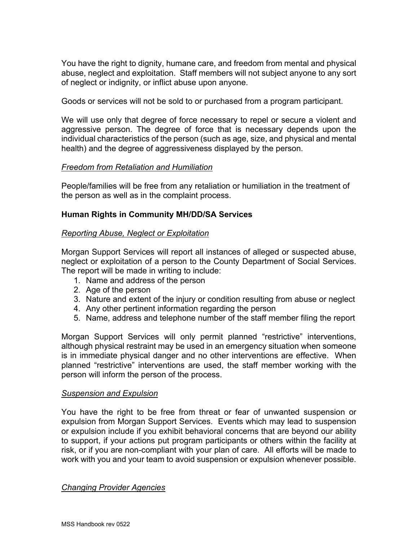You have the right to dignity, humane care, and freedom from mental and physical abuse, neglect and exploitation. Staff members will not subject anyone to any sort of neglect or indignity, or inflict abuse upon anyone.

Goods or services will not be sold to or purchased from a program participant.

We will use only that degree of force necessary to repel or secure a violent and aggressive person. The degree of force that is necessary depends upon the individual characteristics of the person (such as age, size, and physical and mental health) and the degree of aggressiveness displayed by the person.

# *Freedom from Retaliation and Humiliation*

People/families will be free from any retaliation or humiliation in the treatment of the person as well as in the complaint process.

# **Human Rights in Community MH/DD/SA Services**

# *Reporting Abuse, Neglect or Exploitation*

Morgan Support Services will report all instances of alleged or suspected abuse, neglect or exploitation of a person to the County Department of Social Services. The report will be made in writing to include:

- 1. Name and address of the person
- 2. Age of the person
- 3. Nature and extent of the injury or condition resulting from abuse or neglect
- 4. Any other pertinent information regarding the person
- 5. Name, address and telephone number of the staff member filing the report

Morgan Support Services will only permit planned "restrictive" interventions, although physical restraint may be used in an emergency situation when someone is in immediate physical danger and no other interventions are effective. When planned "restrictive" interventions are used, the staff member working with the person will inform the person of the process.

### *Suspension and Expulsion*

You have the right to be free from threat or fear of unwanted suspension or expulsion from Morgan Support Services. Events which may lead to suspension or expulsion include if you exhibit behavioral concerns that are beyond our ability to support, if your actions put program participants or others within the facility at risk, or if you are non-compliant with your plan of care. All efforts will be made to work with you and your team to avoid suspension or expulsion whenever possible.

### *Changing Provider Agencies*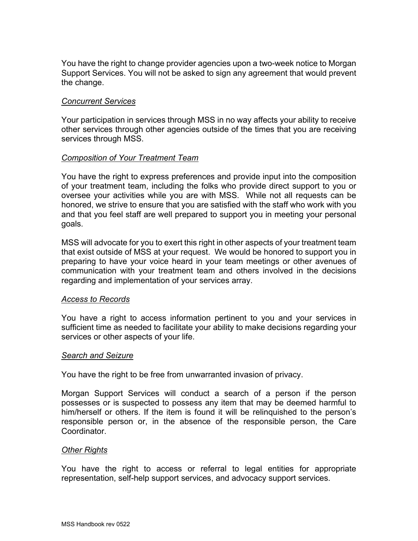You have the right to change provider agencies upon a two-week notice to Morgan Support Services. You will not be asked to sign any agreement that would prevent the change.

#### *Concurrent Services*

Your participation in services through MSS in no way affects your ability to receive other services through other agencies outside of the times that you are receiving services through MSS.

#### *Composition of Your Treatment Team*

You have the right to express preferences and provide input into the composition of your treatment team, including the folks who provide direct support to you or oversee your activities while you are with MSS. While not all requests can be honored, we strive to ensure that you are satisfied with the staff who work with you and that you feel staff are well prepared to support you in meeting your personal goals.

MSS will advocate for you to exert this right in other aspects of your treatment team that exist outside of MSS at your request. We would be honored to support you in preparing to have your voice heard in your team meetings or other avenues of communication with your treatment team and others involved in the decisions regarding and implementation of your services array.

#### *Access to Records*

You have a right to access information pertinent to you and your services in sufficient time as needed to facilitate your ability to make decisions regarding your services or other aspects of your life.

#### *Search and Seizure*

You have the right to be free from unwarranted invasion of privacy.

Morgan Support Services will conduct a search of a person if the person possesses or is suspected to possess any item that may be deemed harmful to him/herself or others. If the item is found it will be relinquished to the person's responsible person or, in the absence of the responsible person, the Care Coordinator.

#### *Other Rights*

You have the right to access or referral to legal entities for appropriate representation, self-help support services, and advocacy support services.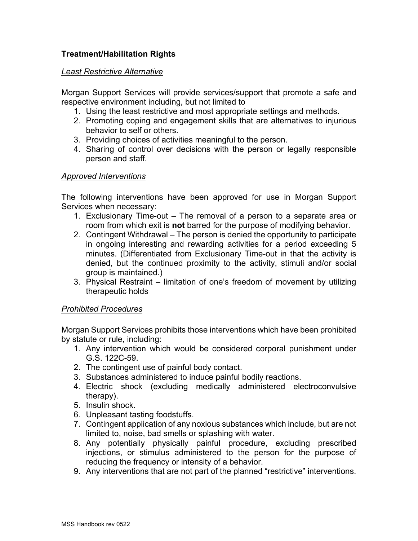# **Treatment/Habilitation Rights**

#### *Least Restrictive Alternative*

Morgan Support Services will provide services/support that promote a safe and respective environment including, but not limited to

- 1. Using the least restrictive and most appropriate settings and methods.
- 2. Promoting coping and engagement skills that are alternatives to injurious behavior to self or others.
- 3. Providing choices of activities meaningful to the person.
- 4. Sharing of control over decisions with the person or legally responsible person and staff.

### *Approved Interventions*

The following interventions have been approved for use in Morgan Support Services when necessary:

- 1. Exclusionary Time-out The removal of a person to a separate area or room from which exit is **not** barred for the purpose of modifying behavior.
- 2. Contingent Withdrawal The person is denied the opportunity to participate in ongoing interesting and rewarding activities for a period exceeding 5 minutes. (Differentiated from Exclusionary Time-out in that the activity is denied, but the continued proximity to the activity, stimuli and/or social group is maintained.)
- 3. Physical Restraint limitation of one's freedom of movement by utilizing therapeutic holds

### *Prohibited Procedures*

Morgan Support Services prohibits those interventions which have been prohibited by statute or rule, including:

- 1. Any intervention which would be considered corporal punishment under G.S. 122C-59.
- 2. The contingent use of painful body contact.
- 3. Substances administered to induce painful bodily reactions.
- 4. Electric shock (excluding medically administered electroconvulsive therapy).
- 5. Insulin shock.
- 6. Unpleasant tasting foodstuffs.
- 7. Contingent application of any noxious substances which include, but are not limited to, noise, bad smells or splashing with water.
- 8. Any potentially physically painful procedure, excluding prescribed injections, or stimulus administered to the person for the purpose of reducing the frequency or intensity of a behavior.
- 9. Any interventions that are not part of the planned "restrictive" interventions.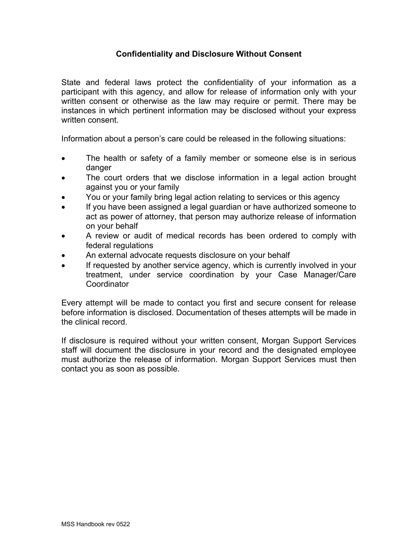## **Confidentiality and Disclosure Without Consent**

State and federal laws protect the confidentiality of your information as a participant with this agency, and allow for release of information only with your written consent or otherwise as the law may require or permit. There may be instances in which pertinent information may be disclosed without your express written consent.

Information about a person's care could be released in the following situations:

- The health or safety of a family member or someone else is in serious danger
- The court orders that we disclose information in a legal action brought against you or your family
- You or your family bring legal action relating to services or this agency
- If you have been assigned a legal guardian or have authorized someone to act as power of attorney, that person may authorize release of information on your behalf
- A review or audit of medical records has been ordered to comply with federal regulations
- An external advocate requests disclosure on your behalf
- If requested by another service agency, which is currently involved in your treatment, under service coordination by your Case Manager/Care **Coordinator**

Every attempt will be made to contact you first and secure consent for release before information is disclosed. Documentation of theses attempts will be made in the clinical record.

If disclosure is required without your written consent, Morgan Support Services staff will document the disclosure in your record and the designated employee must authorize the release of information. Morgan Support Services must then contact you as soon as possible.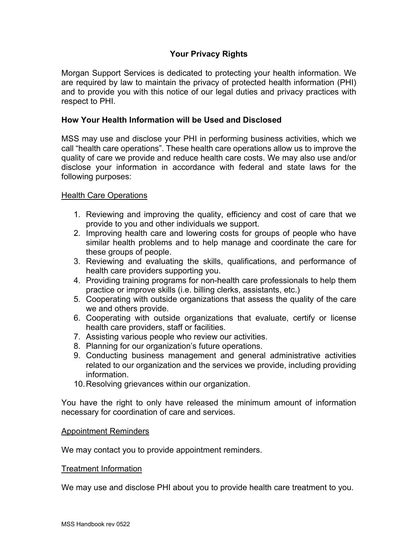# **Your Privacy Rights**

Morgan Support Services is dedicated to protecting your health information. We are required by law to maintain the privacy of protected health information (PHI) and to provide you with this notice of our legal duties and privacy practices with respect to PHI.

#### **How Your Health Information will be Used and Disclosed**

MSS may use and disclose your PHI in performing business activities, which we call "health care operations". These health care operations allow us to improve the quality of care we provide and reduce health care costs. We may also use and/or disclose your information in accordance with federal and state laws for the following purposes:

#### Health Care Operations

- 1. Reviewing and improving the quality, efficiency and cost of care that we provide to you and other individuals we support.
- 2. Improving health care and lowering costs for groups of people who have similar health problems and to help manage and coordinate the care for these groups of people.
- 3. Reviewing and evaluating the skills, qualifications, and performance of health care providers supporting you.
- 4. Providing training programs for non-health care professionals to help them practice or improve skills (i.e. billing clerks, assistants, etc.)
- 5. Cooperating with outside organizations that assess the quality of the care we and others provide.
- 6. Cooperating with outside organizations that evaluate, certify or license health care providers, staff or facilities.
- 7. Assisting various people who review our activities.
- 8. Planning for our organization's future operations.
- 9. Conducting business management and general administrative activities related to our organization and the services we provide, including providing information.
- 10.Resolving grievances within our organization.

You have the right to only have released the minimum amount of information necessary for coordination of care and services.

#### Appointment Reminders

We may contact you to provide appointment reminders.

#### Treatment Information

We may use and disclose PHI about you to provide health care treatment to you.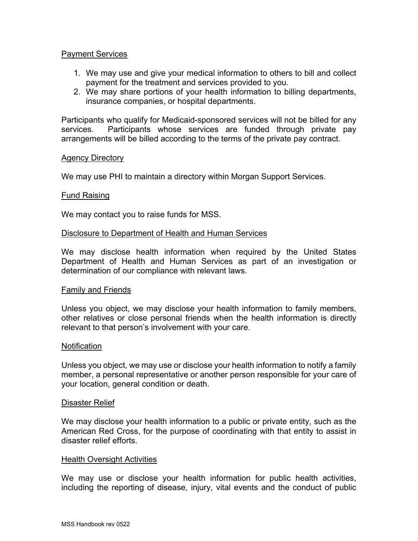#### Payment Services

- 1. We may use and give your medical information to others to bill and collect payment for the treatment and services provided to you.
- 2. We may share portions of your health information to billing departments, insurance companies, or hospital departments.

Participants who qualify for Medicaid-sponsored services will not be billed for any services. Participants whose services are funded through private pay arrangements will be billed according to the terms of the private pay contract.

#### Agency Directory

We may use PHI to maintain a directory within Morgan Support Services.

#### Fund Raising

We may contact you to raise funds for MSS.

#### Disclosure to Department of Health and Human Services

We may disclose health information when required by the United States Department of Health and Human Services as part of an investigation or determination of our compliance with relevant laws.

#### Family and Friends

Unless you object, we may disclose your health information to family members, other relatives or close personal friends when the health information is directly relevant to that person's involvement with your care.

#### **Notification**

Unless you object, we may use or disclose your health information to notify a family member, a personal representative or another person responsible for your care of your location, general condition or death.

#### Disaster Relief

We may disclose your health information to a public or private entity, such as the American Red Cross, for the purpose of coordinating with that entity to assist in disaster relief efforts.

#### **Health Oversight Activities**

We may use or disclose your health information for public health activities, including the reporting of disease, injury, vital events and the conduct of public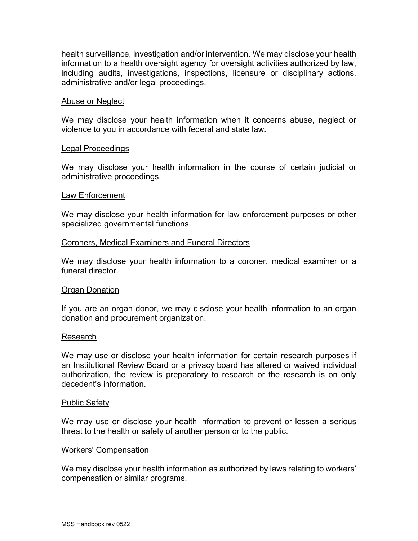health surveillance, investigation and/or intervention. We may disclose your health information to a health oversight agency for oversight activities authorized by law, including audits, investigations, inspections, licensure or disciplinary actions, administrative and/or legal proceedings.

#### Abuse or Neglect

We may disclose your health information when it concerns abuse, neglect or violence to you in accordance with federal and state law.

#### Legal Proceedings

We may disclose your health information in the course of certain judicial or administrative proceedings.

#### Law Enforcement

We may disclose your health information for law enforcement purposes or other specialized governmental functions.

#### Coroners, Medical Examiners and Funeral Directors

We may disclose your health information to a coroner, medical examiner or a funeral director.

#### Organ Donation

If you are an organ donor, we may disclose your health information to an organ donation and procurement organization.

#### Research

We may use or disclose your health information for certain research purposes if an Institutional Review Board or a privacy board has altered or waived individual authorization, the review is preparatory to research or the research is on only decedent's information.

#### Public Safety

We may use or disclose your health information to prevent or lessen a serious threat to the health or safety of another person or to the public.

#### Workers' Compensation

We may disclose your health information as authorized by laws relating to workers' compensation or similar programs.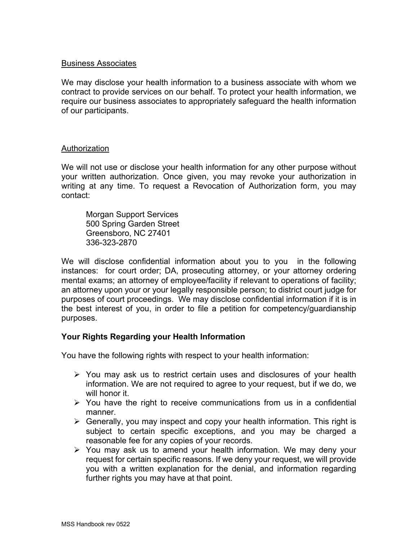### Business Associates

We may disclose your health information to a business associate with whom we contract to provide services on our behalf. To protect your health information, we require our business associates to appropriately safeguard the health information of our participants.

#### Authorization

We will not use or disclose your health information for any other purpose without your written authorization. Once given, you may revoke your authorization in writing at any time. To request a Revocation of Authorization form, you may contact:

Morgan Support Services 500 Spring Garden Street Greensboro, NC 27401 336-323-2870

We will disclose confidential information about you to you in the following instances: for court order; DA, prosecuting attorney, or your attorney ordering mental exams; an attorney of employee/facility if relevant to operations of facility; an attorney upon your or your legally responsible person; to district court judge for purposes of court proceedings. We may disclose confidential information if it is in the best interest of you, in order to file a petition for competency/guardianship purposes.

### **Your Rights Regarding your Health Information**

You have the following rights with respect to your health information:

- $\triangleright$  You may ask us to restrict certain uses and disclosures of your health information. We are not required to agree to your request, but if we do, we will honor it.
- $\triangleright$  You have the right to receive communications from us in a confidential manner.
- $\triangleright$  Generally, you may inspect and copy your health information. This right is subject to certain specific exceptions, and you may be charged a reasonable fee for any copies of your records.
- $\triangleright$  You may ask us to amend your health information. We may deny your request for certain specific reasons. If we deny your request, we will provide you with a written explanation for the denial, and information regarding further rights you may have at that point.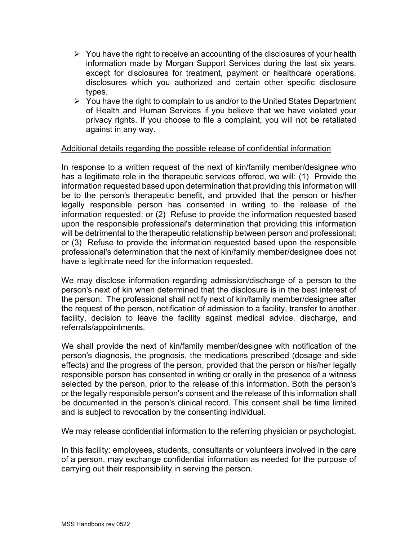- $\triangleright$  You have the right to receive an accounting of the disclosures of your health information made by Morgan Support Services during the last six years, except for disclosures for treatment, payment or healthcare operations, disclosures which you authorized and certain other specific disclosure types.
- $\triangleright$  You have the right to complain to us and/or to the United States Department of Health and Human Services if you believe that we have violated your privacy rights. If you choose to file a complaint, you will not be retaliated against in any way.

#### Additional details regarding the possible release of confidential information

In response to a written request of the next of kin/family member/designee who has a legitimate role in the therapeutic services offered, we will: (1) Provide the information requested based upon determination that providing this information will be to the person's therapeutic benefit, and provided that the person or his/her legally responsible person has consented in writing to the release of the information requested; or (2) Refuse to provide the information requested based upon the responsible professional's determination that providing this information will be detrimental to the therapeutic relationship between person and professional; or (3) Refuse to provide the information requested based upon the responsible professional's determination that the next of kin/family member/designee does not have a legitimate need for the information requested.

We may disclose information regarding admission/discharge of a person to the person's next of kin when determined that the disclosure is in the best interest of the person. The professional shall notify next of kin/family member/designee after the request of the person, notification of admission to a facility, transfer to another facility, decision to leave the facility against medical advice, discharge, and referrals/appointments.

We shall provide the next of kin/family member/designee with notification of the person's diagnosis, the prognosis, the medications prescribed (dosage and side effects) and the progress of the person, provided that the person or his/her legally responsible person has consented in writing or orally in the presence of a witness selected by the person, prior to the release of this information. Both the person's or the legally responsible person's consent and the release of this information shall be documented in the person's clinical record. This consent shall be time limited and is subject to revocation by the consenting individual.

We may release confidential information to the referring physician or psychologist.

In this facility: employees, students, consultants or volunteers involved in the care of a person, may exchange confidential information as needed for the purpose of carrying out their responsibility in serving the person.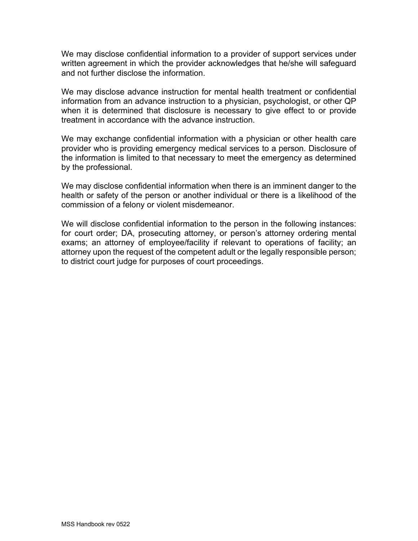We may disclose confidential information to a provider of support services under written agreement in which the provider acknowledges that he/she will safeguard and not further disclose the information.

We may disclose advance instruction for mental health treatment or confidential information from an advance instruction to a physician, psychologist, or other QP when it is determined that disclosure is necessary to give effect to or provide treatment in accordance with the advance instruction.

We may exchange confidential information with a physician or other health care provider who is providing emergency medical services to a person. Disclosure of the information is limited to that necessary to meet the emergency as determined by the professional.

We may disclose confidential information when there is an imminent danger to the health or safety of the person or another individual or there is a likelihood of the commission of a felony or violent misdemeanor.

We will disclose confidential information to the person in the following instances: for court order; DA, prosecuting attorney, or person's attorney ordering mental exams; an attorney of employee/facility if relevant to operations of facility; an attorney upon the request of the competent adult or the legally responsible person; to district court judge for purposes of court proceedings.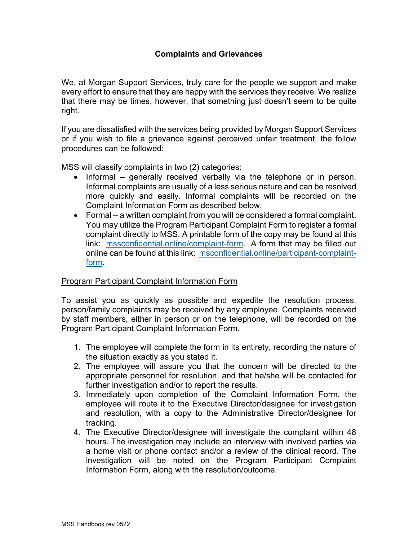We, at Morgan Support Services, truly care for the people we support and make every effort to ensure that they are happy with the services they receive. We realize that there may be times, however, that something just doesn't seem to be quite right.

If you are dissatisfied with the services being provided by Morgan Support Services or if you wish to file a grievance against perceived unfair treatment, the follow procedures can be followed:

MSS will classify complaints in two (2) categories:

- Informal generally received verbally via the telephone or in person. Informal complaints are usually of a less serious nature and can be resolved more quickly and easily. Informal complaints will be recorded on the Complaint Information Form as described below.
- Formal a written complaint from you will be considered a formal complaint. You may utilize the Program Participant Complaint Form to register a formal complaint directly to MSS. A printable form of the copy may be found at this link: [mssconfidential.online/complaint-form.](https://mssconfidential.online/complaint-form) A form that may be filled out online can be found at this link: [msconfidential.online/participant-complaint](https://msconfidential.online/participant-complaint-form)[form.](https://msconfidential.online/participant-complaint-form)

# Program Participant Complaint Information Form

To assist you as quickly as possible and expedite the resolution process, person/family complaints may be received by any employee. Complaints received by staff members, either in person or on the telephone, will be recorded on the Program Participant Complaint Information Form.

- 1. The employee will complete the form in its entirety, recording the nature of the situation exactly as you stated it.
- 2. The employee will assure you that the concern will be directed to the appropriate personnel for resolution, and that he/she will be contacted for further investigation and/or to report the results.
- 3. Immediately upon completion of the Complaint Information Form, the employee will route it to the Executive Director/designee for investigation and resolution, with a copy to the Administrative Director/designee for tracking.
- 4. The Executive Director/designee will investigate the complaint within 48 hours. The investigation may include an interview with involved parties via a home visit or phone contact and/or a review of the clinical record. The investigation will be noted on the Program Participant Complaint Information Form, along with the resolution/outcome.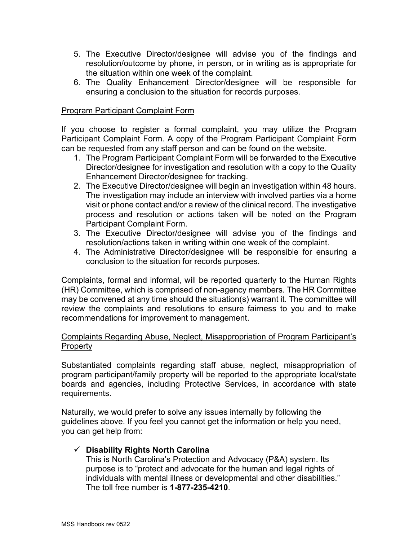- 5. The Executive Director/designee will advise you of the findings and resolution/outcome by phone, in person, or in writing as is appropriate for the situation within one week of the complaint.
- 6. The Quality Enhancement Director/designee will be responsible for ensuring a conclusion to the situation for records purposes.

## Program Participant Complaint Form

If you choose to register a formal complaint, you may utilize the Program Participant Complaint Form. A copy of the Program Participant Complaint Form can be requested from any staff person and can be found on the website.

- 1. The Program Participant Complaint Form will be forwarded to the Executive Director/designee for investigation and resolution with a copy to the Quality Enhancement Director/designee for tracking.
- 2. The Executive Director/designee will begin an investigation within 48 hours. The investigation may include an interview with involved parties via a home visit or phone contact and/or a review of the clinical record. The investigative process and resolution or actions taken will be noted on the Program Participant Complaint Form.
- 3. The Executive Director/designee will advise you of the findings and resolution/actions taken in writing within one week of the complaint.
- 4. The Administrative Director/designee will be responsible for ensuring a conclusion to the situation for records purposes.

Complaints, formal and informal, will be reported quarterly to the Human Rights (HR) Committee, which is comprised of non-agency members. The HR Committee may be convened at any time should the situation(s) warrant it. The committee will review the complaints and resolutions to ensure fairness to you and to make recommendations for improvement to management.

# Complaints Regarding Abuse, Neglect, Misappropriation of Program Participant's Property

Substantiated complaints regarding staff abuse, neglect, misappropriation of program participant/family property will be reported to the appropriate local/state boards and agencies, including Protective Services, in accordance with state requirements.

Naturally, we would prefer to solve any issues internally by following the guidelines above. If you feel you cannot get the information or help you need, you can get help from:

# **Disability Rights North Carolina**

This is North Carolina's Protection and Advocacy (P&A) system. Its purpose is to "protect and advocate for the human and legal rights of individuals with mental illness or developmental and other disabilities." The toll free number is **1-877-235-4210**.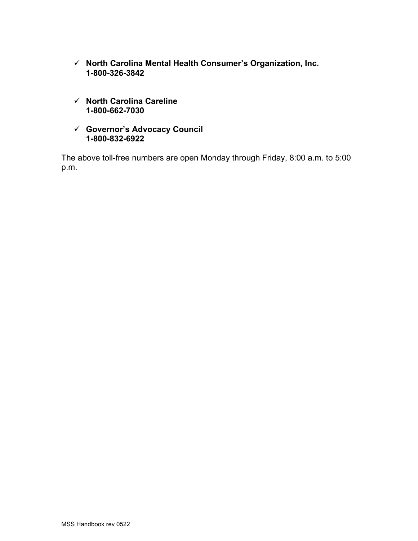- **North Carolina Mental Health Consumer's Organization, Inc. 1-800-326-3842**
- **North Carolina Careline 1-800-662-7030**
- **Governor's Advocacy Council 1-800-832-6922**

The above toll-free numbers are open Monday through Friday, 8:00 a.m. to 5:00 p.m.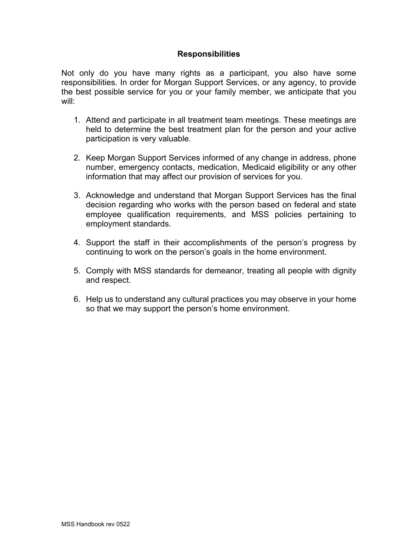#### **Responsibilities**

Not only do you have many rights as a participant, you also have some responsibilities. In order for Morgan Support Services, or any agency, to provide the best possible service for you or your family member, we anticipate that you will:

- 1. Attend and participate in all treatment team meetings. These meetings are held to determine the best treatment plan for the person and your active participation is very valuable.
- 2. Keep Morgan Support Services informed of any change in address, phone number, emergency contacts, medication, Medicaid eligibility or any other information that may affect our provision of services for you.
- 3. Acknowledge and understand that Morgan Support Services has the final decision regarding who works with the person based on federal and state employee qualification requirements, and MSS policies pertaining to employment standards.
- 4. Support the staff in their accomplishments of the person's progress by continuing to work on the person's goals in the home environment.
- 5. Comply with MSS standards for demeanor, treating all people with dignity and respect.
- 6. Help us to understand any cultural practices you may observe in your home so that we may support the person's home environment.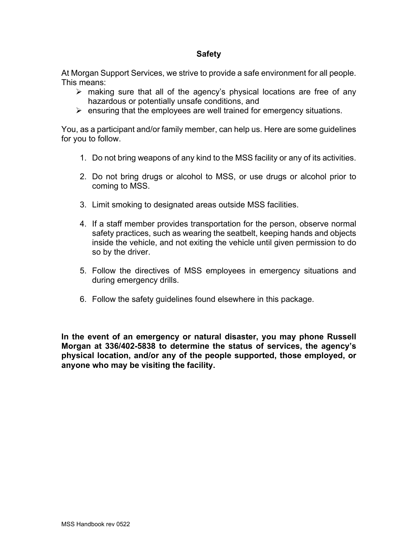#### **Safety**

At Morgan Support Services, we strive to provide a safe environment for all people. This means:

- $\triangleright$  making sure that all of the agency's physical locations are free of any hazardous or potentially unsafe conditions, and
- $\triangleright$  ensuring that the employees are well trained for emergency situations.

You, as a participant and/or family member, can help us. Here are some guidelines for you to follow.

- 1. Do not bring weapons of any kind to the MSS facility or any of its activities.
- 2. Do not bring drugs or alcohol to MSS, or use drugs or alcohol prior to coming to MSS.
- 3. Limit smoking to designated areas outside MSS facilities.
- 4. If a staff member provides transportation for the person, observe normal safety practices, such as wearing the seatbelt, keeping hands and objects inside the vehicle, and not exiting the vehicle until given permission to do so by the driver.
- 5. Follow the directives of MSS employees in emergency situations and during emergency drills.
- 6. Follow the safety guidelines found elsewhere in this package.

**In the event of an emergency or natural disaster, you may phone Russell Morgan at 336/402-5838 to determine the status of services, the agency's physical location, and/or any of the people supported, those employed, or anyone who may be visiting the facility.**